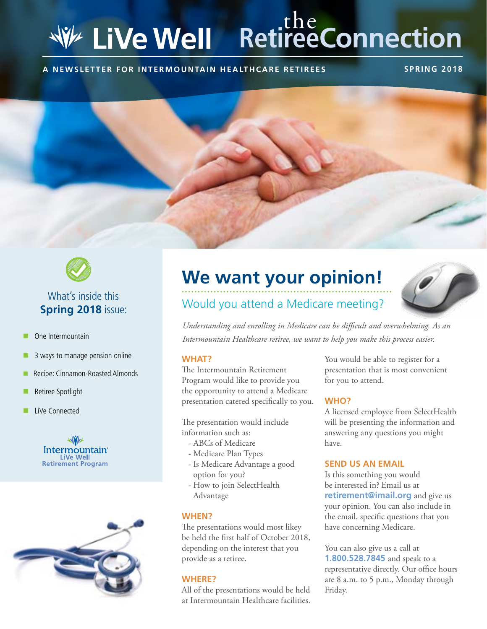## **RetireeConnection WE LiVe Well**

**A NEWSLETTER FOR INTERMOUNTAIN HEALTHCARE RETIREES SPRING 2018**





### What's inside this **Spring 2018** issue:

- One Intermountain
- 3 ways to manage pension online
- Recipe: Cinnamon-Roasted Almonds
- Retiree Spotlight
- LiVe Connected





# **We want your opinion!**



### Would you attend a Medicare meeting?

*Understanding and enrolling in Medicare can be difficult and overwhelming. As an Intermountain Healthcare retiree, we want to help you make this process easier.* 

#### **WHAT?**

The Intermountain Retirement Program would like to provide you the opportunity to attend a Medicare presentation catered specifically to you.

The presentation would include information such as:

- ABCs of Medicare
- Medicare Plan Types
- Is Medicare Advantage a good option for you?
- How to join SelectHealth Advantage

#### **WHEN?**

The presentations would most likey be held the first half of October 2018, depending on the interest that you provide as a retiree.

#### **WHERE?**

All of the presentations would be held at Intermountain Healthcare facilities.

You would be able to register for a presentation that is most convenient for you to attend.

#### **WHO?**

A licensed employee from SelectHealth will be presenting the information and answering any questions you might have.

#### **SEND US AN EMAIL**

Is this something you would be interested in? Email us at **retirement@imail.org** and give us your opinion. You can also include in the email, specific questions that you have concerning Medicare.

You can also give us a call at **1.800.528.7845** and speak to a representative directly. Our office hours are 8 a.m. to 5 p.m., Monday through Friday.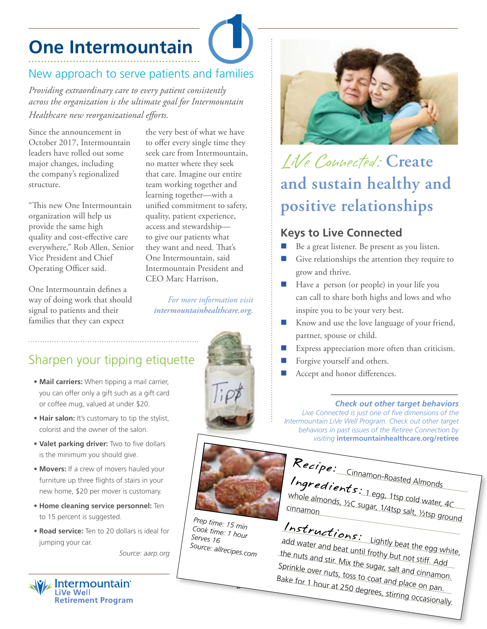## **One Intermountain**

### New approach to serve patients and families

*Providing extraordinary care to every patient consistently across the organization is the ultimate goal for Intermountain Healthcare new reorganizational efforts.*

Since the announcement in October 2017, Intermountain leaders have rolled out some major changes, including the company's regionalized structure.

"This new One Intermountain organization will help us provide the same high quality and cost-effective care everywhere," Rob Allen, Senior Vice President and Chief Operating Officer said.

One Intermountain defines a way of doing work that should signal to patients and their families that they can expect

the very best of what we have to offer every single time they seek care from Intermountain, no matter where they seek that care. Imagine our entire team working together and learning together—with a unified commitment to safety, quality, patient experience, access and stewardship to give our patients what they want and need. That's One Intermountain, said Intermountain President and CEO Marc Harrison,

*For more information visit intermountainhealthcare.org.*

## Sharpen your tipping etiquette

- **Mail carriers:** When tipping a mail carrier, you can offer only a gift such as a gift card or coffee mug, valued at under \$20.
- **Hair salon:** It's customary to tip the stylist, colorist and the owner of the salon.
- **Valet parking driver:** Two to five dollars is the minimum you should give.
- **Movers:** If a crew of movers hauled your furniture up three flights of stairs in your new home, \$20 per mover is customary.
- **Home cleaning service personnel:** Ten to 15 percent is suggested.
- **Road service:** Ten to 20 dollars is ideal for jumping your car.

*Source: aarp.org*



## LiVe Connected: **Create and sustain healthy and positive relationships**

### **Keys to Live Connected**

- Be a great listener. Be present as you listen.
- Give relationships the attention they require to grow and thrive.
- Have a person (or people) in your life you can call to share both highs and lows and who inspire you to be your very best.
- Know and use the love language of your friend, partner, spouse or child.
- Express appreciation more often than criticism.
- Forgive yourself and others.
- Accept and honor differences.

#### *Check out other target behaviors*

*Live Connected is just one of five dimensions of the Intermountain LiVe Well Program. Check out other target behaviors in past issues of the Retiree Connection by visiting* **intermountainhealthcare.org/retiree**



*Prep time: 15 min Cook time: 1 hour Serves 16 Source: allrecipes.com*

2



## Instructions:

add water and beat until frothy but not stiff. Add Lightly beat the egg white,<br>rothy but the nuts and stir. Mix the sugar, salt and cinnamon. Sprinkle over nuts, toss to coat and place on pan. Bake for 1 hour at 250 degrees, stirring occasionally.



**W/ Intermountain Retirement Program**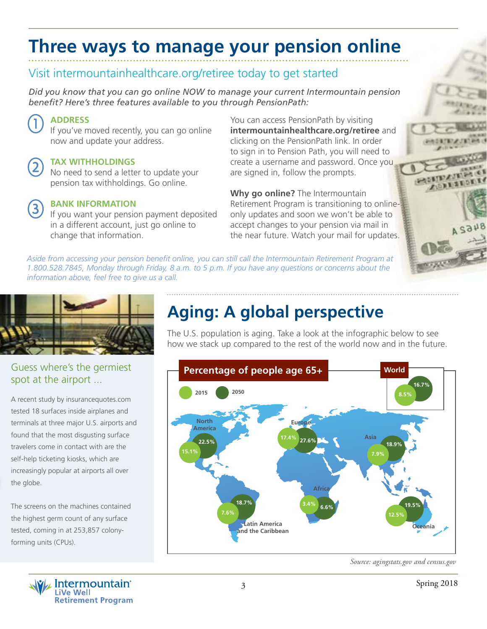## **Three ways to manage your pension online**

### Visit intermountainhealthcare.org/retiree today to get started

*Did you know that you can go online NOW to manage your current Intermountain pension benefit? Here's three features available to you through PensionPath:*

### **ADDRESS**

If you've moved recently, you can go online now and update your address.

#### **TAX WITHHOLDINGS**

No need to send a letter to update your pension tax withholdings. Go online.

#### **BANK INFORMATION**

If you want your pension payment deposited in a different account, just go online to change that information.

You can access PensionPath by visiting **intermountainhealthcare.org/retiree** and clicking on the PensionPath link. In order to sign in to Pension Path, you will need to create a username and password. Once you are signed in, follow the prompts.

**Why go online?** The Intermountain Retirement Program is transitioning to onlineonly updates and soon we won't be able to accept changes to your pension via mail in the near future. Watch your mail for updates.

*Aside from accessing your pension benefit online, you can still call the Intermountain Retirement Program at 1.800.528.7845, Monday through Friday, 8 a.m. to 5 p.m. If you have any questions or concerns about the information above, feel free to give us a call.*



#### Guess where's the germiest spot at the airport ...

A recent study by insurancequotes.com tested 18 surfaces inside airplanes and terminals at three major U.S. airports and found that the most disgusting surface travelers come in contact with are the self-help ticketing kiosks, which are increasingly popular at airports all over the globe.

The screens on the machines contained the highest germ count of any surface tested, coming in at 253,857 colonyforming units (CPUs).



## **Aging: A global perspective**

The U.S. population is aging. Take a look at the infographic below to see how we stack up compared to the rest of the world now and in the future.



*Source: agingstats.gov and census.gov*